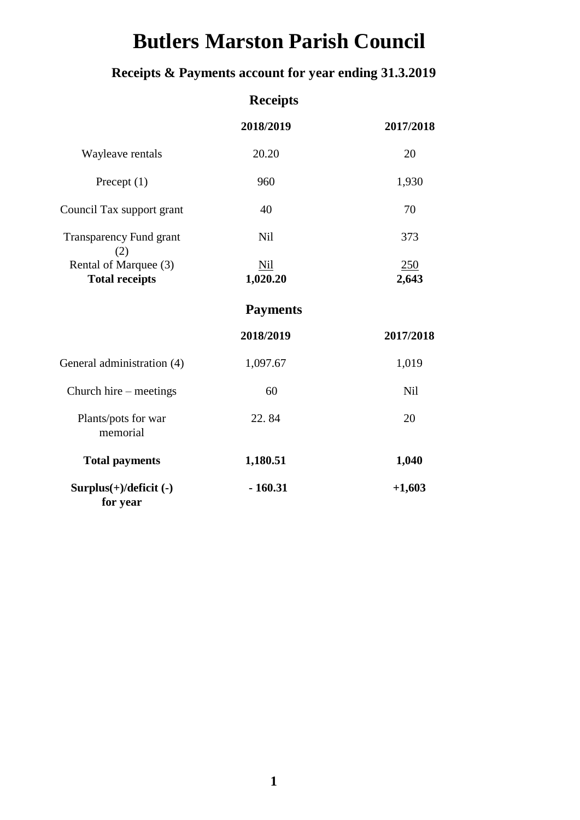# **Butlers Marston Parish Council**

### **Receipts & Payments account for year ending 31.3.2019**

|                                                | <b>Receipts</b>        |              |
|------------------------------------------------|------------------------|--------------|
|                                                | 2018/2019              | 2017/2018    |
| Wayleave rentals                               | 20.20                  | 20           |
| Precept $(1)$                                  | 960                    | 1,930        |
| Council Tax support grant                      | 40                     | 70           |
| <b>Transparency Fund grant</b><br>(2)          | Nil                    | 373          |
| Rental of Marquee (3)<br><b>Total receipts</b> | <b>Nil</b><br>1,020.20 | 250<br>2,643 |
|                                                | <b>Payments</b>        |              |
|                                                | 2018/2019              | 2017/2018    |
| General administration (4)                     | 1,097.67               | 1,019        |
| Church hire – meetings                         | 60                     | <b>Nil</b>   |
| Plants/pots for war<br>memorial                | 22.84                  | 20           |
| <b>Total payments</b>                          | 1,180.51               | 1,040        |
| Surplus(+)/deficit (-)<br>for year             | $-160.31$              | $+1,603$     |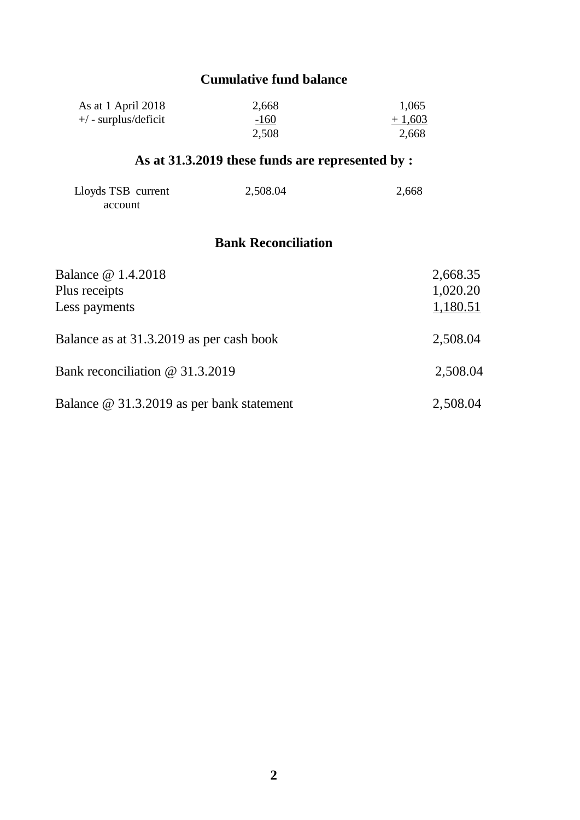#### **Cumulative fund balance**

| As at 1 April 2018          | 2,668  | 1,065    |
|-----------------------------|--------|----------|
| $+\prime$ - surplus/deficit | $-160$ | $+1,603$ |
|                             | 2,508  | 2,668    |

### **As at 31.3.2019 these funds are represented by :**

| Lloyds TSB current | 2,508.04 | 2,668 |
|--------------------|----------|-------|
| account            |          |       |

#### **Bank Reconciliation**

| Balance @ 1.4.2018                        | 2,668.35 |
|-------------------------------------------|----------|
| Plus receipts                             | 1,020.20 |
| Less payments                             | 1,180.51 |
|                                           |          |
| Balance as at 31.3.2019 as per cash book  | 2,508.04 |
|                                           |          |
| Bank reconciliation @ 31.3.2019           | 2,508.04 |
|                                           |          |
| Balance @ 31.3.2019 as per bank statement | 2,508.04 |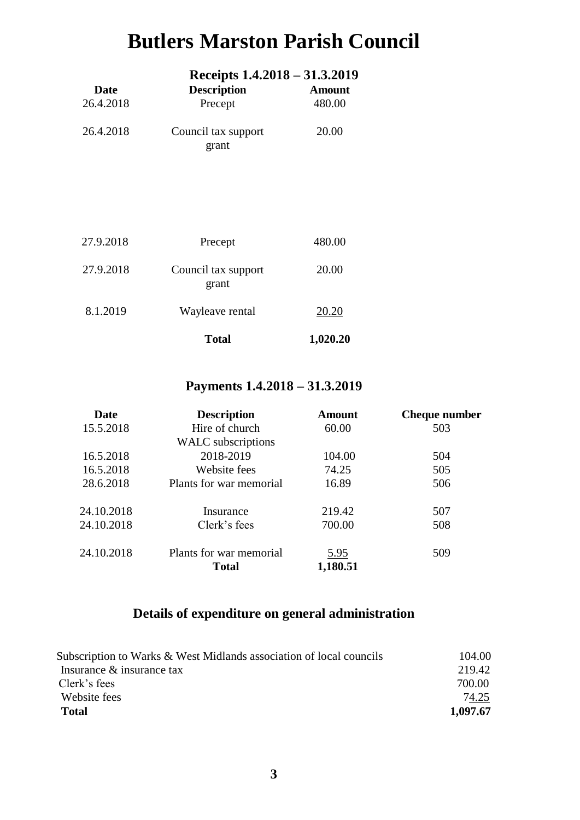## **Butlers Marston Parish Council**

|                   | Receipts 1.4.2018 – 31.3.2019 |                         |
|-------------------|-------------------------------|-------------------------|
| Date<br>26.4.2018 | <b>Description</b><br>Precept | <b>Amount</b><br>480.00 |
| 26.4.2018         | Council tax support<br>grant  | 20.00                   |
|                   |                               |                         |

|           | <b>Total</b>                 | 1,020.20 |
|-----------|------------------------------|----------|
| 8.1.2019  | Wayleave rental              | 20.20    |
| 27.9.2018 | Council tax support<br>grant | 20.00    |
| 27.9.2018 | Precept                      | 480.00   |

#### **Payments 1.4.2018 – 31.3.2019**

| Date       | <b>Description</b>      | <b>Amount</b> | <b>Cheque number</b> |
|------------|-------------------------|---------------|----------------------|
| 15.5.2018  | Hire of church          | 60.00         | 503                  |
|            | WALC subscriptions      |               |                      |
| 16.5.2018  | 2018-2019               | 104.00        | 504                  |
| 16.5.2018  | Website fees            | 74.25         | 505                  |
| 28.6.2018  | Plants for war memorial | 16.89         | 506                  |
| 24.10.2018 | Insurance               | 219.42        | 507                  |
| 24.10.2018 | Clerk's fees            | 700.00        | 508                  |
| 24.10.2018 | Plants for war memorial | 5.95          | 509                  |
|            | <b>Total</b>            | 1,180.51      |                      |

#### **Details of expenditure on general administration**

| Subscription to Warks & West Midlands association of local councils | 104.00   |
|---------------------------------------------------------------------|----------|
| Insurance & insurance tax                                           | 219.42   |
| Clerk's fees                                                        | 700.00   |
| Website fees                                                        | 74.25    |
| Total                                                               | 1.097.67 |